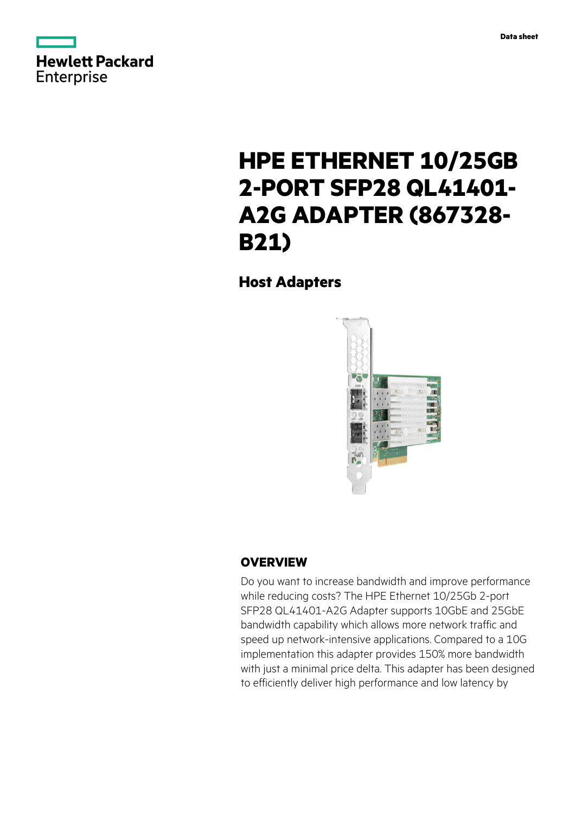



# **HPE ETHERNET 10/25GB 2-PORT SFP28 QL41401- A2G ADAPTER (867328- B21)**

**Host Adapters**



# **OVERVIEW**

Do you want to increase bandwidth and improve performance while reducing costs? The HPE Ethernet 10/25Gb 2-port SFP28 QL41401-A2G Adapter supports 10GbE and 25GbE bandwidth capability which allows more network traffic and speed up network-intensive applications. Compared to a 10G implementation this adapter provides 150% more bandwidth with just a minimal price delta. This adapter has been designed to efficiently deliver high performance and low latency by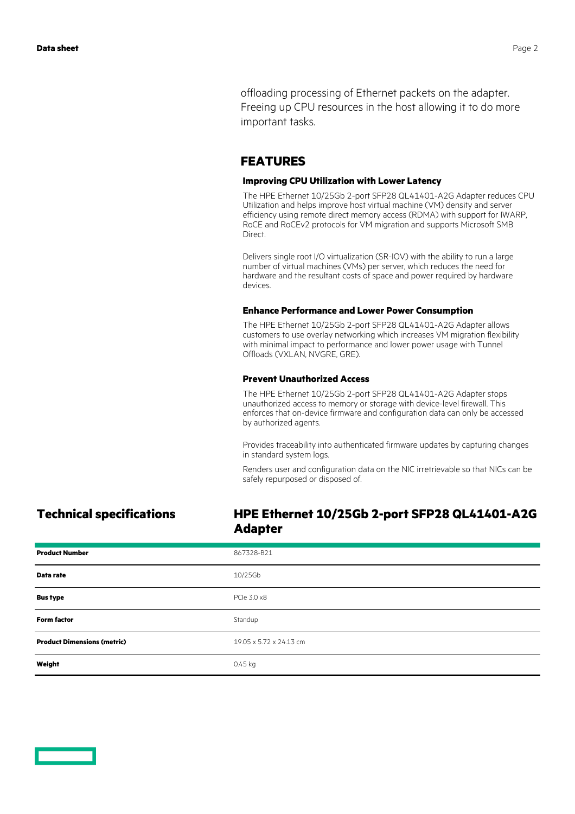offloading processing of Ethernet packets on the adapter. Freeing up CPU resources in the host allowing it to do more important tasks.

## **FEATURES**

### **Improving CPU Utilization with Lower Latency**

The HPE Ethernet 10/25Gb 2-port SFP28 QL41401-A2G Adapter reduces CPU Utilization and helps improve host virtual machine (VM) density and server efficiency using remote direct memory access (RDMA) with support for IWARP, RoCE and RoCEv2 protocols for VM migration and supports Microsoft SMB Direct.

Delivers single root I/O virtualization (SR-IOV) with the ability to run a large number of virtual machines (VMs) per server, which reduces the need for hardware and the resultant costs of space and power required by hardware devices.

### **Enhance Performance and Lower Power Consumption**

The HPE Ethernet 10/25Gb 2-port SFP28 QL41401-A2G Adapter allows customers to use overlay networking which increases VM migration flexibility with minimal impact to performance and lower power usage with Tunnel Offloads (VXLAN, NVGRE, GRE).

### **Prevent Unauthorized Access**

The HPE Ethernet 10/25Gb 2-port SFP28 QL41401-A2G Adapter stops unauthorized access to memory or storage with device-level firewall. This enforces that on-device firmware and configuration data can only be accessed by authorized agents.

Provides traceability into authenticated firmware updates by capturing changes in standard system logs.

Renders user and configuration data on the NIC irretrievable so that NICs can be safely repurposed or disposed of.

# **Technical specifications HPE Ethernet 10/25Gb 2-port SFP28 QL41401-A2G Adapter**

| <b>Product Number</b>              | 867328-B21              |
|------------------------------------|-------------------------|
| Data rate                          | 10/25Gb                 |
| <b>Bus type</b>                    | PCle 3.0 x8             |
| <b>Form factor</b>                 | Standup                 |
| <b>Product Dimensions (metric)</b> | 19.05 x 5.72 x 24.13 cm |
| Weight                             | $0.45$ kg               |